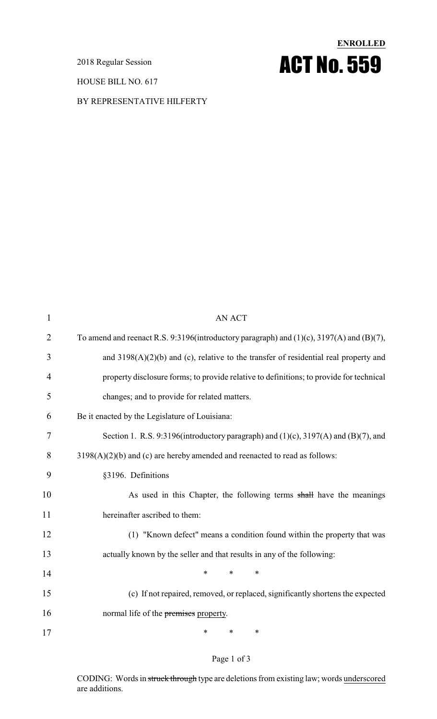2018 Regular Session

HOUSE BILL NO. 617

### BY REPRESENTATIVE HILFERTY

# **ENROLLED** ACT No. 559

| $\mathbf{1}$ | <b>AN ACT</b>                                                                            |
|--------------|------------------------------------------------------------------------------------------|
| 2            | To amend and reenact R.S. 9:3196(introductory paragraph) and (1)(c), 3197(A) and (B)(7), |
| 3            | and $3198(A)(2)(b)$ and (c), relative to the transfer of residential real property and   |
| 4            | property disclosure forms; to provide relative to definitions; to provide for technical  |
| 5            | changes; and to provide for related matters.                                             |
| 6            | Be it enacted by the Legislature of Louisiana:                                           |
| 7            | Section 1. R.S. 9:3196(introductory paragraph) and $(1)(c)$ , 3197(A) and $(B)(7)$ , and |
| 8            | $3198(A)(2)(b)$ and (c) are hereby amended and reenacted to read as follows:             |
| 9            | §3196. Definitions                                                                       |
| 10           | As used in this Chapter, the following terms shall have the meanings                     |
| 11           | hereinafter ascribed to them:                                                            |
| 12           | (1) "Known defect" means a condition found within the property that was                  |
| 13           | actually known by the seller and that results in any of the following:                   |
| 14           | *<br>$\ast$<br>∗                                                                         |
| 15           | (c) If not repaired, removed, or replaced, significantly shortens the expected           |
| 16           | normal life of the premises property.                                                    |
| 17           | ∗<br>∗<br>∗                                                                              |

### Page 1 of 3

CODING: Words in struck through type are deletions from existing law; words underscored are additions.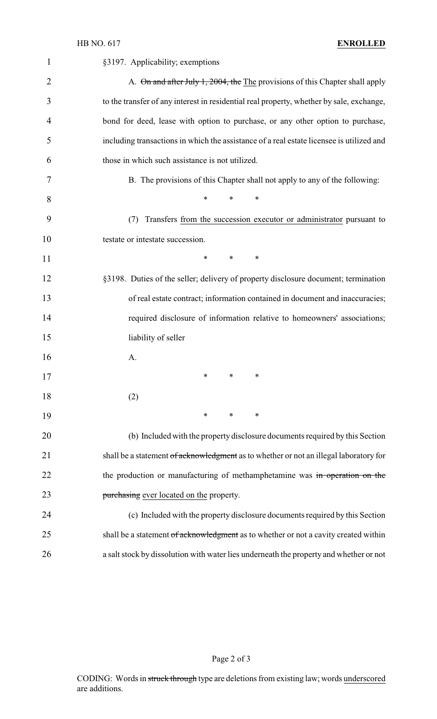| 1              | §3197. Applicability; exemptions                                                         |
|----------------|------------------------------------------------------------------------------------------|
| $\overline{2}$ | A. On and after July 1, 2004, the The provisions of this Chapter shall apply             |
| 3              | to the transfer of any interest in residential real property, whether by sale, exchange, |
| 4              | bond for deed, lease with option to purchase, or any other option to purchase,           |
| 5              | including transactions in which the assistance of a real estate licensee is utilized and |
| 6              | those in which such assistance is not utilized.                                          |
| 7              | B. The provisions of this Chapter shall not apply to any of the following:               |
| 8              | ∗<br>*<br>*                                                                              |
| 9              | Transfers from the succession executor or administrator pursuant to<br>(7)               |
| 10             | testate or intestate succession.                                                         |
| 11             | $\ast$<br>$\ast$<br>∗                                                                    |
| 12             | §3198. Duties of the seller; delivery of property disclosure document; termination       |
| 13             | of real estate contract; information contained in document and inaccuracies;             |
| 14             | required disclosure of information relative to homeowners' associations;                 |
| 15             | liability of seller                                                                      |
| 16             | A.                                                                                       |
| 17             | $\ast$ and $\ast$<br>∗                                                                   |
| 18             | (2)                                                                                      |
| 19             | $\ast$<br>$\ast$<br>∗                                                                    |
| 20             | (b) Included with the property disclosure documents required by this Section             |
| 21             | shall be a statement of acknowledgment as to whether or not an illegal laboratory for    |
| 22             | the production or manufacturing of methamphetamine was in operation on the               |
| 23             | purchasing ever located on the property.                                                 |
| 24             | (c) Included with the property disclosure documents required by this Section             |
| 25             | shall be a statement of acknowledgment as to whether or not a cavity created within      |
| 26             | a salt stock by dissolution with water lies underneath the property and whether or not   |

Page 2 of 3